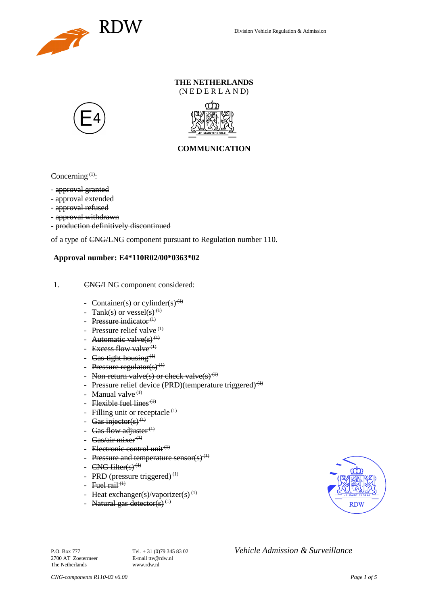

### **THE NETHERLANDS** (N E D E R L A N D)





## **COMMUNICATION**

Concerning  $(1)$ :

- approval granted
- approval extended
- approval refused
- approval withdrawn
- production definitively discontinued

of a type of CNG/LNG component pursuant to Regulation number 110.

### **Approval number: E4\*110R02/00\*0363\*02**

- 1. CNG/LNG component considered:
	- Container(s) or cylinder(s)<sup>(1)</sup>
	- Tank(s) or vessel(s)<sup>(1)</sup>
	- Pressure indicator $(1)$
	- Pressure relief valve<sup> $(1)$ </sup>
	- Automatic valve $(s)$ <sup>(1)</sup>
	- Excess flow valve<sup> $(1)$ </sup>
	- Gas-tight housing<sup> $(1)$ </sup>
	- Pressure regulator(s) $(1)$
	- Non-return valve(s) or check valve(s)<sup>(1)</sup>
	- Pressure relief device (PRD)(temperature triggered)<sup>(1)</sup>
	- Manual valve $<sup>(1)</sup>$ </sup>
	- Flexible fuel lines<sup> $(1)$ </sup>
	- Filling unit or receptacle  $(1)$
	- Gas injector(s)<sup>(1)</sup>
	- Gas flow adjuster $^{(1)}$
	- Gas/air mixer<sup>(1)</sup>
	- Electronic control unit<sup>(1)</sup>
	- Pressure and temperature sensor(s)<sup>(1)</sup>
	- $CNG$  filter(s)<sup>(1)</sup>
	- PRD (pressure triggered) $<sup>(1)</sup>$ </sup>
	- Fuel rail<sup> $(1)$ </sup>
	- Heat exchanger(s)/vaporizer(s)<sup>(1)</sup>
	- Natural gas detector(s)<sup>(1)</sup>



2700 AT Zoetermeer The Netherlands www.rdw.nl

P.O. Box 777<br> **P.O. Box 777** Tel. + 31 (0)79 345 83 02 *Vehicle Admission & Surveillance*<br>
F-mail tty@rdw.nl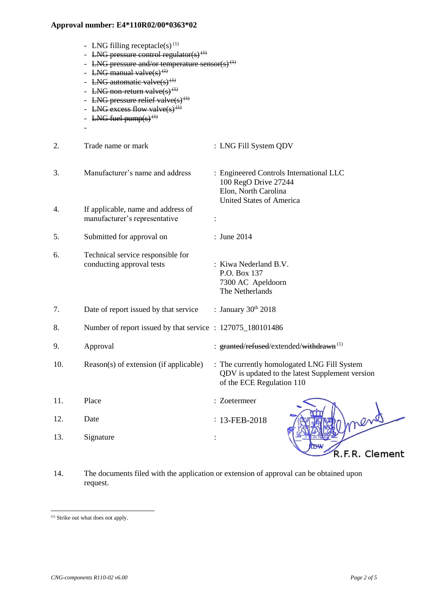- LNG filling receptacle(s)<sup>(1)</sup>
- LNG pressure control regulator(s)<sup>(1)</sup>
- LNG pressure and/or temperature sensor(s)<sup>(1)</sup>
- LNG manual valve $(s)$ <sup> $(1)$ </sup>
- LNG automatic valve $(s)$ <sup>(1)</sup>
- LNG non-return valve $(s)$ <sup> $(1)$ </sup>
- LNG pressure relief valve $(s)$ <sup>(1)</sup>
- LNG excess flow valve(s)<sup>(1)</sup>
- LNG fuel pump $(s)$ <sup> $(1)$ </sup>

-

2. Trade name or mark : LNG Fill System QDV 3. Manufacturer's name and address : Engineered Controls International LLC 100 RegO Drive 27244 Elon, North Carolina United States of America 4. If applicable, name and address of manufacturer's representative : 5. Submitted for approval on : June 2014 6. Technical service responsible for conducting approval tests : Kiwa Nederland B.V. P.O. Box 137 7300 AC Apeldoorn The Netherlands 7. Date of report issued by that service  $\therefore$  January 30<sup>th</sup> 2018 8. Number of report issued by that service : 127075 180101486 9. Approval : granted/refused/extended/withdrawn<sup>(1)</sup> 10. Reason(s) of extension (if applicable) : The currently homologated LNG Fill System QDV is updated to the latest Supplement version of the ECE Regulation 110 11. Place : Zoetermeer nens 12. Date :  $: 13 - FEB - 2018$ 13. Signature : R.F.R. Clement

14. The documents filed with the application or extension of approval can be obtained upon request.

l

<sup>(1)</sup> Strike out what does not apply.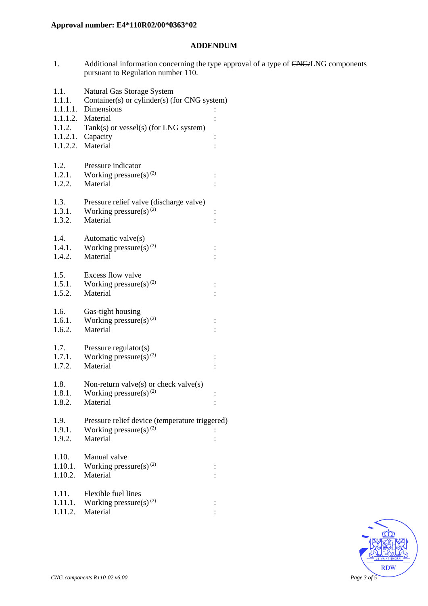### **ADDENDUM**

1. Additional information concerning the type approval of a type of CNG/LNG components pursuant to Regulation number 110.

| 1.1.<br>1.1.1.   | Natural Gas Storage System<br>Container(s) or cylinder(s) (for CNG system) |                |  |
|------------------|----------------------------------------------------------------------------|----------------|--|
| 1.1.1.1.         | Dimensions                                                                 |                |  |
|                  | 1.1.1.2. Material                                                          |                |  |
| 1.1.2.           | Tank(s) or vessel(s) (for LNG system)                                      |                |  |
|                  | $1.1.2.1.$ Capacity                                                        | $\vdots$       |  |
|                  | 1.1.2.2. Material                                                          |                |  |
|                  |                                                                            |                |  |
| 1.2.             | Pressure indicator                                                         |                |  |
| 1.2.1.           | Working pressure(s) $(2)$                                                  | $\vdots$       |  |
| 1.2.2.           | Material                                                                   |                |  |
| 1.3.             |                                                                            |                |  |
| 1.3.1.           | Pressure relief valve (discharge valve)<br>Working pressure(s) $^{(2)}$    |                |  |
| 1.3.2.           | Material                                                                   | $\vdots$       |  |
|                  |                                                                            |                |  |
| 1.4.             | Automatic valve(s)                                                         |                |  |
| 1.4.1.           | Working pressure(s) <sup>(2)</sup>                                         |                |  |
| 1.4.2.           | Material                                                                   |                |  |
|                  |                                                                            |                |  |
| 1.5.             | Excess flow valve                                                          |                |  |
| 1.5.1.           | Working pressure(s) $^{(2)}$                                               | $\vdots$       |  |
| 1.5.2.           | Material                                                                   |                |  |
| 1.6.             | Gas-tight housing                                                          |                |  |
| 1.6.1.           | Working pressure(s) $(2)$                                                  |                |  |
| 1.6.2.           | Material                                                                   |                |  |
|                  |                                                                            |                |  |
| 1.7.             | Pressure regulator(s)                                                      |                |  |
| 1.7.1.           | Working pressure(s) <sup>(2)</sup>                                         | $\vdots$       |  |
| 1.7.2.           | Material                                                                   |                |  |
|                  |                                                                            |                |  |
| 1.8.             | Non-return valve $(s)$ or check valve $(s)$                                |                |  |
| 1.8.1.           | Working pressure(s) $^{(2)}$<br>Material                                   | $\vdots$       |  |
| 1.8.2.           |                                                                            | $\vdots$       |  |
| 1.9.             | Pressure relief device (temperature triggered)                             |                |  |
| 1.9.1.           | Working pressure(s) $(2)$                                                  |                |  |
| 1.9.2.           | Material                                                                   |                |  |
|                  |                                                                            |                |  |
| 1.10.            | Manual valve                                                               |                |  |
| 1.10.1.          | Working pressure(s) $^{(2)}$                                               | $\ddot{\cdot}$ |  |
| 1.10.2.          | Material                                                                   |                |  |
|                  |                                                                            |                |  |
| 1.11.<br>1.11.1. | Flexible fuel lines<br>Working pressure(s) $(2)$                           |                |  |
| 1.11.2.          | Material                                                                   |                |  |
|                  |                                                                            |                |  |

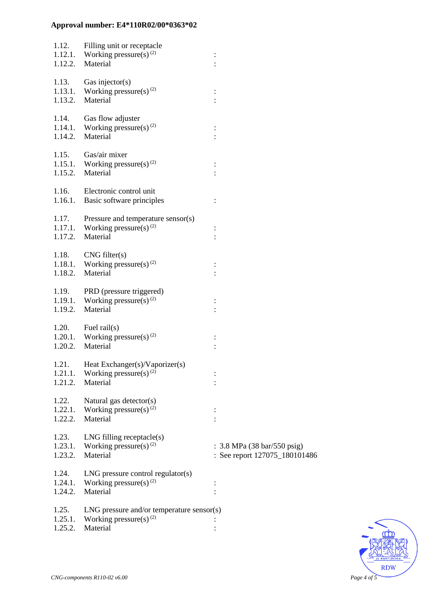| 1.12.<br>1.12.2.            | Filling unit or receptacle<br>1.12.1. Working pressure(s) <sup>(2)</sup><br>Material          |                                                              |
|-----------------------------|-----------------------------------------------------------------------------------------------|--------------------------------------------------------------|
| 1.13.<br>1.13.2.            | Gas injector(s)<br>1.13.1. Working pressure(s) <sup>(2)</sup><br>Material                     |                                                              |
| 1.14.<br>1.14.2.            | Gas flow adjuster<br>1.14.1. Working pressure(s) $^{(2)}$<br>Material                         | $\vdots$                                                     |
| 1.15.<br>1.15.2.            | Gas/air mixer<br>1.15.1. Working pressure(s) $^{(2)}$<br>Material                             |                                                              |
| 1.16.<br>1.16.1.            | Electronic control unit<br>Basic software principles                                          |                                                              |
| 1.17.<br>1.17.2.            | Pressure and temperature sensor(s)<br>1.17.1. Working pressure(s) <sup>(2)</sup><br>Material  |                                                              |
| 1.18.<br>1.18.2.            | CNG filter(s)<br>1.18.1. Working pressure(s) $^{(2)}$<br>Material                             |                                                              |
| 1.19.<br>1.19.1.<br>1.19.2. | PRD (pressure triggered)<br>Working pressure(s) $(2)$<br>Material                             |                                                              |
| 1.20.<br>1.20.1.<br>1.20.2. | Fuel rail $(s)$<br>Working pressure(s) <sup>(2)</sup><br>Material                             |                                                              |
| 1.21.<br>1.21.1.<br>1.21.2. | Heat Exchanger(s)/Vaporizer(s)<br>Working pressure(s) $(2)$<br>Material                       |                                                              |
| 1.22.<br>1.22.1.<br>1.22.2. | Natural gas detector(s)<br>Working pressure(s) <sup>(2)</sup><br>Material                     |                                                              |
| 1.23.<br>1.23.1.<br>1.23.2. | $LNG$ filling receptacle $(s)$<br>Working pressure(s) <sup>(2)</sup><br>Material              | : 3.8 MPa (38 bar/550 psig)<br>: See report 127075_180101486 |
| 1.24.<br>1.24.1.<br>1.24.2. | $LNG$ pressure control regulator(s)<br>Working pressure(s) $(2)$<br>Material                  |                                                              |
| 1.25.<br>1.25.1.<br>1.25.2. | $LNG$ pressure and/or temperature sensor(s)<br>Working pressure(s) <sup>(2)</sup><br>Material |                                                              |